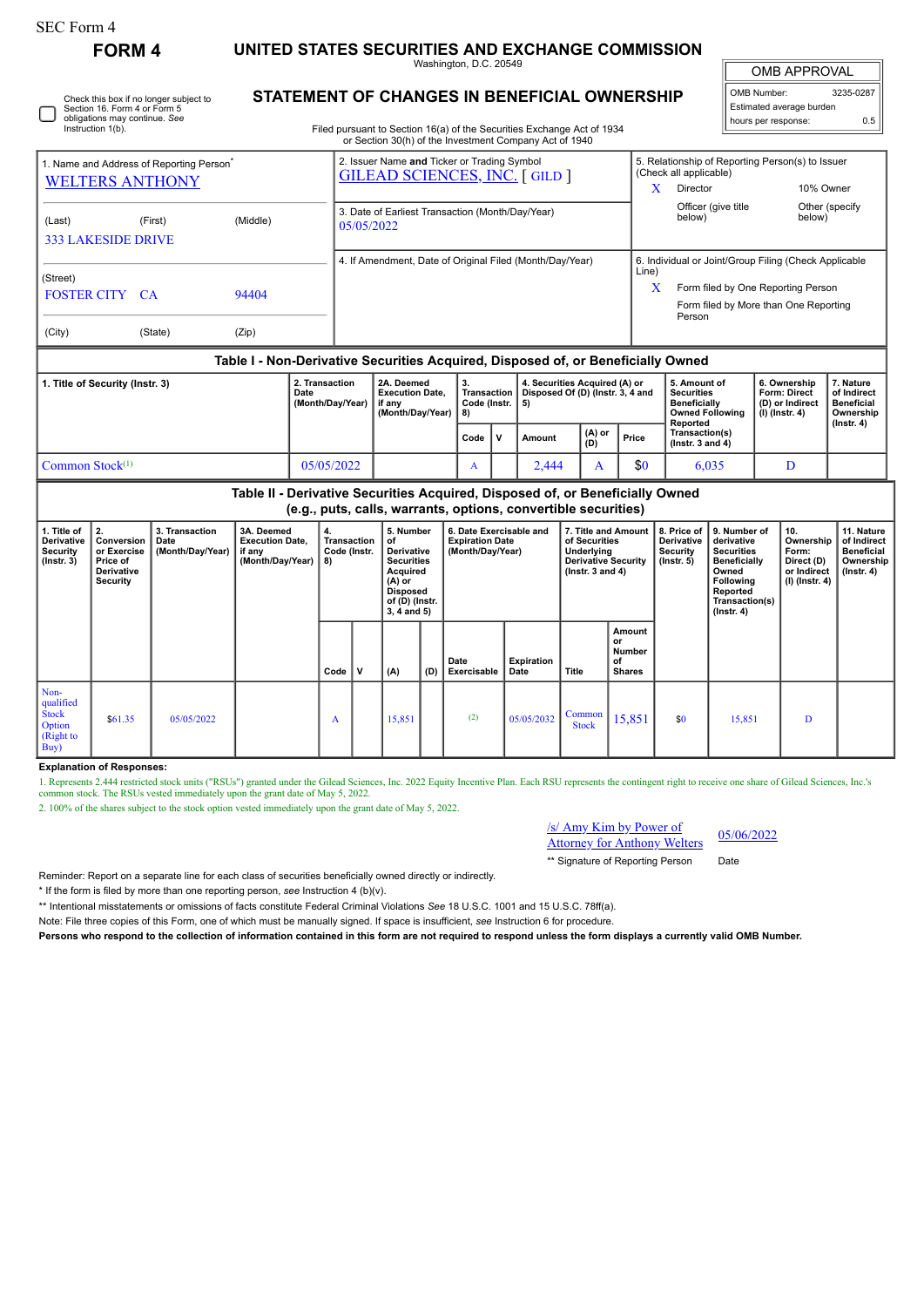L

## **FORM 4 UNITED STATES SECURITIES AND EXCHANGE COMMISSION**

Washington, D.C. 20549

 $\mathbb{I}$ OMB APPROVAL

| OMB Number:<br>3235-0287 |     |  |  |  |  |  |  |  |  |  |
|--------------------------|-----|--|--|--|--|--|--|--|--|--|
| Estimated average burden |     |  |  |  |  |  |  |  |  |  |
| hours per response:      | 0.5 |  |  |  |  |  |  |  |  |  |

Check this box if no longer subject to Section 16. Form 4 or Form 5 obligations may continue. *See* Instruction 1(b).

## **STATEMENT OF CHANGES IN BENEFICIAL OWNERSHIP**

Filed pursuant to Section 16(a) of the Securities Exchange Act of 1934 or Section 30(h) of the Investment Company Act of 1940

| 1. Name and Address of Reporting Person <sup>®</sup><br><b>WELTERS ANTHONY</b>     |                                                                                                                                                 |         |                                                                |                                          | 2. Issuer Name and Ticker or Trading Symbol<br><b>GILEAD SCIENCES, INC. [GILD]</b> |                                                                    |      |                                                                                                                                    |        |                                                                         |                         |                                                     | (Check all applicable)                                                                                                                                       |                                        | 5. Relationship of Reporting Person(s) to Issuer                           |                                                |                                                            |
|------------------------------------------------------------------------------------|-------------------------------------------------------------------------------------------------------------------------------------------------|---------|----------------------------------------------------------------|------------------------------------------|------------------------------------------------------------------------------------|--------------------------------------------------------------------|------|------------------------------------------------------------------------------------------------------------------------------------|--------|-------------------------------------------------------------------------|-------------------------|-----------------------------------------------------|--------------------------------------------------------------------------------------------------------------------------------------------------------------|----------------------------------------|----------------------------------------------------------------------------|------------------------------------------------|------------------------------------------------------------|
| (Last)                                                                             | <b>333 LAKESIDE DRIVE</b>                                                                                                                       | (First) | 3. Date of Earliest Transaction (Month/Day/Year)<br>05/05/2022 |                                          |                                                                                    |                                                                    |      |                                                                                                                                    |        |                                                                         | Director<br>X<br>below) | Officer (give title                                 |                                                                                                                                                              | 10% Owner<br>Other (specify)<br>below) |                                                                            |                                                |                                                            |
| (Street)<br><b>FOSTER CITY</b><br>94404<br><b>CA</b><br>(City)<br>(State)<br>(Zip) |                                                                                                                                                 |         |                                                                |                                          |                                                                                    | 4. If Amendment, Date of Original Filed (Month/Day/Year)           |      |                                                                                                                                    |        |                                                                         |                         |                                                     | 6. Individual or Joint/Group Filing (Check Applicable<br>Line)<br>Form filed by One Reporting Person<br>X<br>Form filed by More than One Reporting<br>Person |                                        |                                                                            |                                                |                                                            |
| Table I - Non-Derivative Securities Acquired, Disposed of, or Beneficially Owned   |                                                                                                                                                 |         |                                                                |                                          |                                                                                    |                                                                    |      |                                                                                                                                    |        |                                                                         |                         |                                                     |                                                                                                                                                              |                                        |                                                                            |                                                |                                                            |
| 1. Title of Security (Instr. 3)<br>2. Transaction<br>Date                          |                                                                                                                                                 |         |                                                                |                                          | (Month/Day/Year)                                                                   | 2A. Deemed<br><b>Execution Date.</b><br>if any<br>(Month/Day/Year) |      | 3.<br><b>Transaction</b><br>Code (Instr.  <br>8)                                                                                   |        | 4. Securities Acquired (A) or<br>Disposed Of (D) (Instr. 3, 4 and<br>5) |                         |                                                     | 5. Amount of<br><b>Securities</b><br>Beneficially                                                                                                            | <b>Owned Following</b>                 | 6. Ownership<br><b>Form: Direct</b><br>(D) or Indirect<br>$(I)$ (Instr. 4) |                                                | 7. Nature<br>of Indirect<br><b>Beneficial</b><br>Ownership |
|                                                                                    |                                                                                                                                                 |         |                                                                |                                          |                                                                                    |                                                                    | Code | v                                                                                                                                  | Amount |                                                                         | (A) or<br>(D)           | Price                                               | Reported                                                                                                                                                     | Transaction(s)<br>( $lnstr. 3 and 4$ ) |                                                                            |                                                | $($ Instr. 4 $)$                                           |
| Common Stock <sup>(1)</sup>                                                        |                                                                                                                                                 |         |                                                                |                                          | 05/05/2022                                                                         |                                                                    | A    |                                                                                                                                    | 2,444  |                                                                         | A                       | \$0                                                 |                                                                                                                                                              | 6,035                                  | D                                                                          |                                                |                                                            |
|                                                                                    | Table II - Derivative Securities Acquired, Disposed of, or Beneficially Owned<br>(e.g., puts, calls, warrants, options, convertible securities) |         |                                                                |                                          |                                                                                    |                                                                    |      |                                                                                                                                    |        |                                                                         |                         |                                                     |                                                                                                                                                              |                                        |                                                                            |                                                |                                                            |
| 1. Title of<br><b>Derivative</b><br><b>Security</b>                                | 2.<br>3. Transaction<br>3A. Deemed<br><b>Execution Date,</b><br>Conversion<br>Date<br>or Exercise<br>(Month/Day/Year)   if any                  |         |                                                                | 4.<br><b>Transaction</b><br>Code (Instr. | 5. Number<br>οf<br><b>Derivative</b>                                               |                                                                    |      | 6. Date Exercisable and<br>7. Title and Amount<br><b>Expiration Date</b><br>of Securities<br>(Month/Day/Year)<br><b>Underlying</b> |        |                                                                         |                         | 8. Price of<br><b>Derivative</b><br><b>Security</b> | 9. Number of<br>derivative<br><b>Securities</b>                                                                                                              |                                        | 10.<br>Ownership<br>Form:                                                  | 11. Nature<br>of Indirect<br><b>Beneficial</b> |                                                            |

| <br>Security<br>$($ Instr. 3 $)$                                 | ----------<br>or Exercise<br>Price of<br><b>Derivative</b><br>Security | ----<br>(Month/Day/Year) | if any<br>(Month/Day/Year) $  8$ ) | <br>Code (Instr. |             | Derivative<br><b>Securities</b><br>Acquired<br>$(A)$ or<br><b>Disposed</b><br>of (D) (Instr.<br>$3, 4$ and $5)$ |     | (Month/Day/Year)    |                           | <br>Underlying<br><b>Derivative Security</b><br>( $lnstr. 3 and 4$ ) |                                               | --------<br>Security<br>$($ lnstr. 5 $)$ | <br><b>Securities</b><br><b>Beneficially</b><br>Owned<br>Following<br>Reported<br>Transaction(s)<br>$($ lnstr. 4 $)$ | .<br>Form:<br>Direct (D)<br>or Indirect<br>(I) (Instr. 4) | .<br><b>Beneficial</b><br>Ownership<br>(Instr. 4) |
|------------------------------------------------------------------|------------------------------------------------------------------------|--------------------------|------------------------------------|------------------|-------------|-----------------------------------------------------------------------------------------------------------------|-----|---------------------|---------------------------|----------------------------------------------------------------------|-----------------------------------------------|------------------------------------------|----------------------------------------------------------------------------------------------------------------------|-----------------------------------------------------------|---------------------------------------------------|
|                                                                  |                                                                        |                          |                                    | $Code \vert$     | $\mathbf v$ | (A)                                                                                                             | (D) | Date<br>Exercisable | <b>Expiration</b><br>Date | Title                                                                | Amount<br>or<br>Number<br>οf<br><b>Shares</b> |                                          |                                                                                                                      |                                                           |                                                   |
| Non-<br>qualified<br><b>Stock</b><br>Option<br>(Right to<br>Buy) | \$61.35                                                                | 05/05/2022               |                                    | A                |             | 15,851                                                                                                          |     | (2)                 | 05/05/2032                | Common<br><b>Stock</b>                                               | 15,851                                        | \$0                                      | 15,851                                                                                                               | D                                                         |                                                   |

**Explanation of Responses:**

1. Represents 2.444 restricted stock units ("RSUs") granted under the Gilead Sciences, Inc. 2022 Equity Incentive Plan. Each RSU represents the contingent right to receive one share of Gilead Sciences, Inc.'s common stock.

2. 100% of the shares subject to the stock option vested immediately upon the grant date of May 5, 2022.

## /s/ Amy Kim by Power of Attorney for Anthony Welters 05/06/2022

\*\* Signature of Reporting Person Date

Reminder: Report on a separate line for each class of securities beneficially owned directly or indirectly.

\* If the form is filed by more than one reporting person, *see* Instruction 4 (b)(v).

\*\* Intentional misstatements or omissions of facts constitute Federal Criminal Violations *See* 18 U.S.C. 1001 and 15 U.S.C. 78ff(a).

Note: File three copies of this Form, one of which must be manually signed. If space is insufficient, *see* Instruction 6 for procedure.

**Persons who respond to the collection of information contained in this form are not required to respond unless the form displays a currently valid OMB Number.**